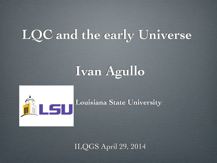## **LQC and the early Universe**

# **Ivan Agullo**



**Louisiana State University**

ILQGS April 29, 2014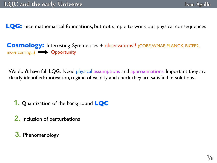**LQG:** nice mathematical foundations, but not simple to work out physical consequences

**Cosmology:** Interesting. Symmetries + observations!! (COBE, WMAP, PLANCK, BICEP2, more coming...) **Deportunity** 

We don't have full LQG. Need physical assumptions and approximations. Important they are clearly identified: motivation, regime of validity and check they are satisfied in solutions.

**1.** Quantization of the background **LQC**

**2.** Inclusion of perturbations

**3.** Phenomenology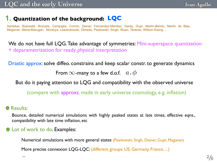## **1. Quantization of the background: LQC**

Ashtekar, Bojowald, Brizuela, Campiglia, Corichi, Diener, Fernandez-Mendez, Garay, Gupt, Martin-Benito, Martin de Blas, Megavan, Mena-Marugan, Montoya, Lewandoswki, Olmedo, Pawlowski, Singh, Sloan, Taveras, Willson-Ewing, ...

We do not have full LQG. Take advantage of symmetries: Mini-superspace quantization + deparametrization for ready physical interpretation

Drastic approx: solve diffeo. constrains and keep scalar constr. to generate dynamics

From  $\infty$ -many to a few d.o.f.  $a$  ,  $\phi$ 

But do it paying attention to LQG and compatibility with the observed universe

(compare with approxs. made in early universe cosmology, e.g. inflation)

#### **O** Results:

Bounce, detailed numerical simulations with highly peaked states at late times, effective eqns., compatibility with late time inflation, etc

#### **Q** Lot of work to do. Examples:

Numerical simulations with more general states (Pawlowski; Singh, Diener, Gupt, Megavan)

More precise connexion LQG-LQC: (different groups: US, Germany, France, ...)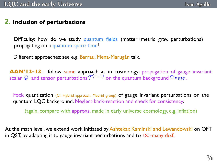### **2. Inclusion of perturbations**

Difficulty: how do we study quantum fields (matter+metric grav. perturbations) propagating on a quantum space-time?

Different approaches: see e.g. Barrau, Mena-Marugán talk.

**AAN'12-13**: follow same approach as in cosmology: propagation of gauge invariant scalar Q and tensor perturbations  $\mathcal{T}^{(+,\times)}$  on the quantum background  $\Psi_{FRW}$ .

Fock quantization (Cf. Hybrid approach, Madrid group) of gauge invariant perturbations on the quantum LQC background. Neglect back-reaction and check for consistency.

(again, compare with approxs. made in early universe cosmology, e.g. inflation)

At the math level, we extend work initiated by Ashtekar, Kaminski and Lewandowski on QFT in QST, by adapting it to gauge invariant perturbations and to  $\infty$ -many do.f.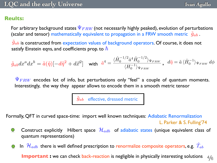#### **Reults:**

For arbitrary background states  $\Psi_{FRW}$  (not necessarily highly peaked), evolution of perturbations (scalar and tensor) mathematically equivalent to propagation in a FRW smooth metric  $\tilde{g}_{ab}$ .

 $\tilde{g}_{ab}$  is constructed from expectation values of background operators. Of course, it does not satisfy Einstein eqns, and coefficients prop. to  $\hbar$ 

$$
\tilde{g}_{ab}dx^a dx^b = \tilde{a}(\tilde{\eta})[-d\tilde{\eta}^2 + d\vec{x}^2] \quad \text{with} \quad \tilde{a}^4 = \frac{\langle \hat{H}_0^{-1/2} \hat{a}^4 \hat{H}_0^{-1/2} \rangle_{\Psi_{FRW}}}{\langle H_0^{-1} \rangle_{\Psi_{FRW}}}, \quad d\tilde{\eta} = \tilde{a} \langle \hat{H}_0^{-1} \rangle_{\Psi_{FRW}} d\phi
$$

 $\Psi_{FRW}$  encodes lot of info, but perturbations only "feel" a couple of quantum moments. Interestingly, the way they appear allows to encode them in a smooth metric tensor



Formally, QFT in curved space-time: import well known techniques: Adiabatic Renormalization

L. Parker & S. Fulling'74

**Ivan Agullo**

Construct explicitly Hilbert space  $\mathcal{H}_{adb}$  of adiabatic states (unique equivalent class of  $\bigcirc$ quantum representations)

In  $\mathcal{H}_{adb}$  there is well defined prescription to renormalize composite operators, e.g.  $\hat{T}_{ab}$  $\bigcirc$ 

4 6 **Important :** we can check back-reaction is negligible in physically interesting solutions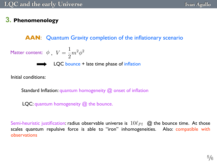## **3. Phenomenology**

**AAN**: Quantum Gravity completion of the inflationary scenario

Matter content: 
$$
\phi
$$
,  $V = \frac{1}{2}m^2\phi^2$ 

\n■ ▶ QCDB

\n□ QCDB

\n□ 1. Let time phase of inflation

Initial conditions:

Standard Inflation: quantum homogeneity @ onset of inflation

LQC: quantum homogeneity @ the bounce.

Semi-heuristic justification: radius observable universe is  $~10\ell_{Pl}$   $~$  @ the bounce time. At those scales quantum repulsive force is able to "iron" inhomogeneities. Also: compatible with observations